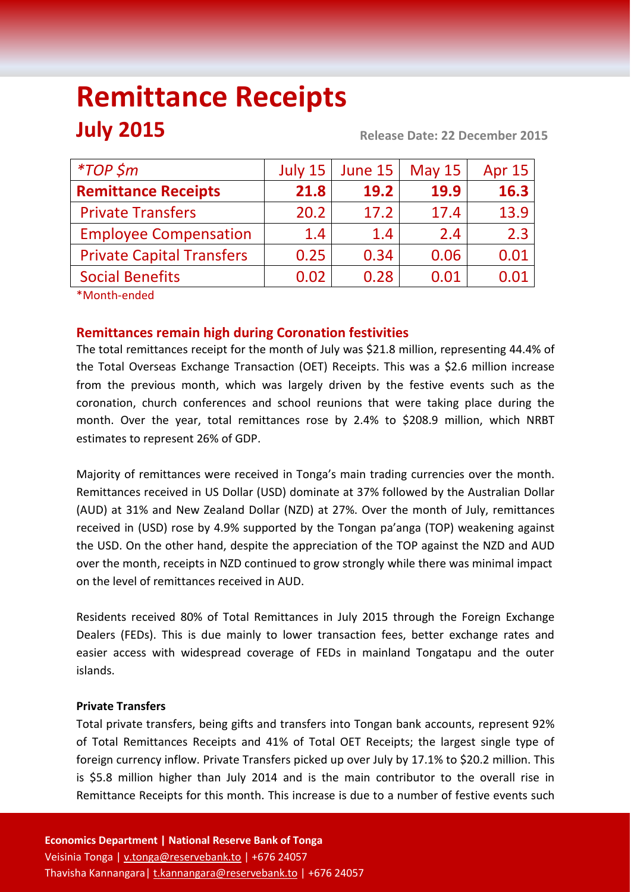# **Remittance Receipts July 2015 Release Date: 22 December 2015**

| $*TOP$ \$m                       | July 15 | June 15 | <b>May 15</b> | <b>Apr 15</b> |
|----------------------------------|---------|---------|---------------|---------------|
| <b>Remittance Receipts</b>       | 21.8    | 19.2    | 19.9          | 16.3          |
| <b>Private Transfers</b>         | 20.2    | 17.2    | 17.4          | 13.9          |
| <b>Employee Compensation</b>     | 1.4     | 1.4     | 2.4           | 2.3           |
| <b>Private Capital Transfers</b> | 0.25    | 0.34    | 0.06          | 0.01          |
| <b>Social Benefits</b>           | 0.02    | 0.28    | 0.01          | 0.01          |
| *Month-ended                     |         |         |               |               |

# **Remittances remain high during Coronation festivities**

The total remittances receipt for the month of July was \$21.8 million, representing 44.4% of the Total Overseas Exchange Transaction (OET) Receipts. This was a \$2.6 million increase from the previous month, which was largely driven by the festive events such as the coronation, church conferences and school reunions that were taking place during the month. Over the year, total remittances rose by 2.4% to \$208.9 million, which NRBT estimates to represent 26% of GDP.

Majority of remittances were received in Tonga's main trading currencies over the month. Remittances received in US Dollar (USD) dominate at 37% followed by the Australian Dollar (AUD) at 31% and New Zealand Dollar (NZD) at 27%. Over the month of July, remittances received in (USD) rose by 4.9% supported by the Tongan pa'anga (TOP) weakening against the USD. On the other hand, despite the appreciation of the TOP against the NZD and AUD over the month, receipts in NZD continued to grow strongly while there was minimal impact on the level of remittances received in AUD.

Residents received 80% of Total Remittances in July 2015 through the Foreign Exchange Dealers (FEDs). This is due mainly to lower transaction fees, better exchange rates and easier access with widespread coverage of FEDs in mainland Tongatapu and the outer islands.

### **Private Transfers**

Total private transfers, being gifts and transfers into Tongan bank accounts, represent 92% of Total Remittances Receipts and 41% of Total OET Receipts; the largest single type of foreign currency inflow. Private Transfers picked up over July by 17.1% to \$20.2 million. This is \$5.8 million higher than July 2014 and is the main contributor to the overall rise in Remittance Receipts for this month. This increase is due to a number of festive events such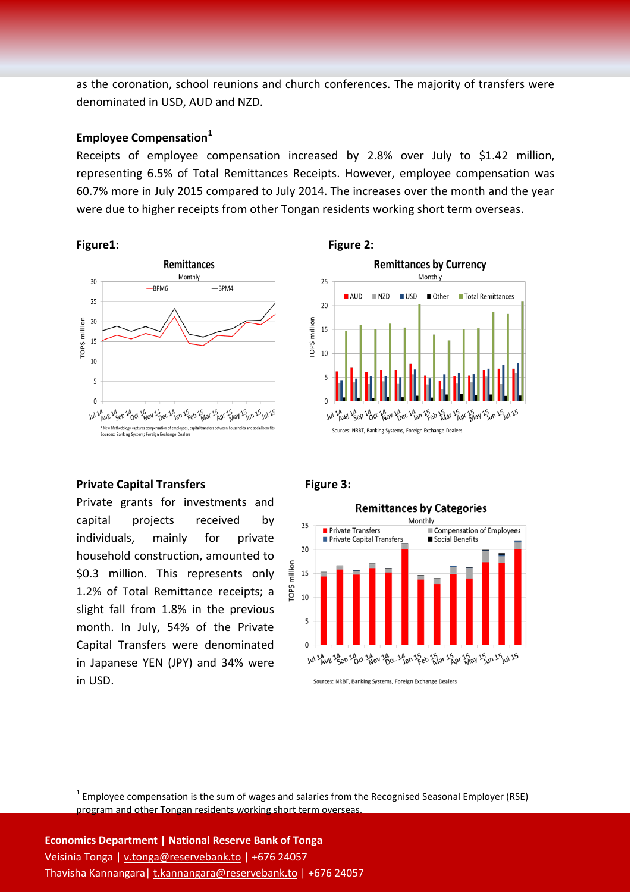as the coronation, school reunions and church conferences. The majority of transfers were denominated in USD, AUD and NZD.

#### **Employee Compensation<sup>1</sup>**

Receipts of employee compensation increased by 2.8% over July to \$1.42 million, representing 6.5% of Total Remittances Receipts. However, employee compensation was 60.7% more in July 2015 compared to July 2014. The increases over the month and the year were due to higher receipts from other Tongan residents working short term overseas.





#### **Private Capital Transfers Figure 3:**

1

Private grants for investments and capital projects received by individuals, mainly for private household construction, amounted to \$0.3 million. This represents only 1.2% of Total Remittance receipts; a slight fall from 1.8% in the previous month. In July, 54% of the Private Capital Transfers were denominated in Japanese YEN (JPY) and 34% were in USD.



Sources: NRBT, Banking Systems, Foreign Exchange Dealers

 $1$  Employee compensation is the sum of wages and salaries from the Recognised Seasonal Employer (RSE) program and other Tongan residents working short term overseas.